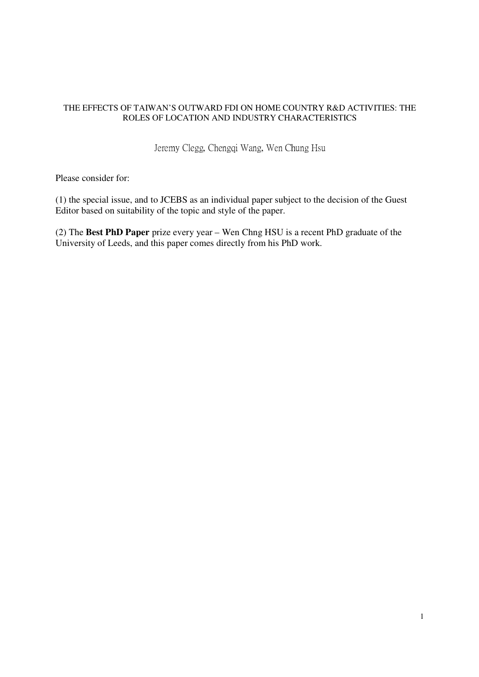### THE EFFECTS OF TAIWAN'S OUTWARD FDI ON HOME COUNTRY R&D ACTIVITIES: THE ROLES OF LOCATION AND INDUSTRY CHARACTERISTICS

Jeremy Clegg, Chengqi Wang, Wen Chung Hsu

Please consider for:

(1) the special issue, and to JCEBS as an individual paper subject to the decision of the Guest Editor based on suitability of the topic and style of the paper.

(2) The **Best PhD Paper** prize every year – Wen Chng HSU is a recent PhD graduate of the University of Leeds, and this paper comes directly from his PhD work.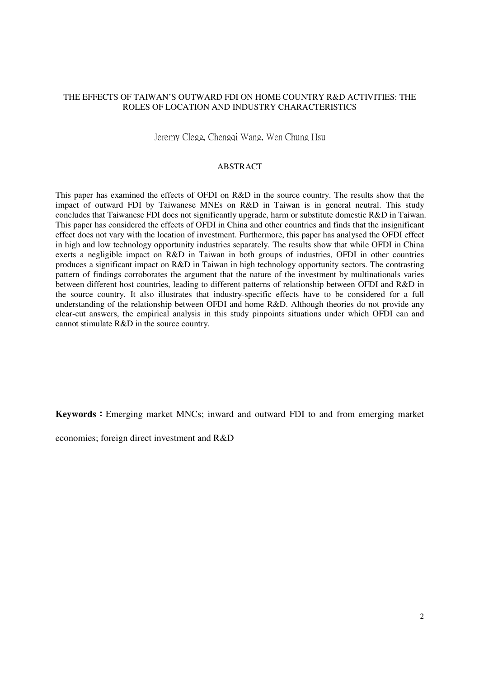### THE EFFECTS OF TAIWAN'S OUTWARD FDI ON HOME COUNTRY R&D ACTIVITIES: THE ROLES OF LOCATION AND INDUSTRY CHARACTERISTICS

Jeremy Clegg, Chengqi Wang, Wen Chung Hsu

#### ABSTRACT

This paper has examined the effects of OFDI on R&D in the source country. The results show that the impact of outward FDI by Taiwanese MNEs on R&D in Taiwan is in general neutral. This study concludes that Taiwanese FDI does not significantly upgrade, harm or substitute domestic R&D in Taiwan. This paper has considered the effects of OFDI in China and other countries and finds that the insignificant effect does not vary with the location of investment. Furthermore, this paper has analysed the OFDI effect in high and low technology opportunity industries separately. The results show that while OFDI in China exerts a negligible impact on R&D in Taiwan in both groups of industries, OFDI in other countries produces a significant impact on R&D in Taiwan in high technology opportunity sectors. The contrasting pattern of findings corroborates the argument that the nature of the investment by multinationals varies between different host countries, leading to different patterns of relationship between OFDI and R&D in the source country. It also illustrates that industry-specific effects have to be considered for a full understanding of the relationship between OFDI and home R&D. Although theories do not provide any clear-cut answers, the empirical analysis in this study pinpoints situations under which OFDI can and cannot stimulate R&D in the source country.

**Keywords**:Emerging market MNCs; inward and outward FDI to and from emerging market

economies; foreign direct investment and R&D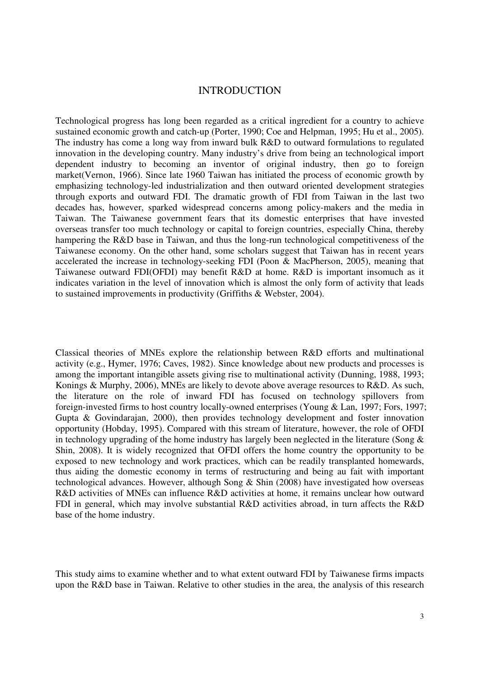## INTRODUCTION

Technological progress has long been regarded as a critical ingredient for a country to achieve sustained economic growth and catch-up (Porter, 1990; Coe and Helpman, 1995; Hu et al., 2005). The industry has come a long way from inward bulk R&D to outward formulations to regulated innovation in the developing country. Many industry's drive from being an technological import dependent industry to becoming an inventor of original industry, then go to foreign market(Vernon, 1966). Since late 1960 Taiwan has initiated the process of economic growth by emphasizing technology-led industrialization and then outward oriented development strategies through exports and outward FDI. The dramatic growth of FDI from Taiwan in the last two decades has, however, sparked widespread concerns among policy-makers and the media in Taiwan. The Taiwanese government fears that its domestic enterprises that have invested overseas transfer too much technology or capital to foreign countries, especially China, thereby hampering the R&D base in Taiwan, and thus the long-run technological competitiveness of the Taiwanese economy. On the other hand, some scholars suggest that Taiwan has in recent years accelerated the increase in technology-seeking FDI (Poon & MacPherson, 2005), meaning that Taiwanese outward FDI(OFDI) may benefit R&D at home. R&D is important insomuch as it indicates variation in the level of innovation which is almost the only form of activity that leads to sustained improvements in productivity (Griffiths & Webster, 2004).

Classical theories of MNEs explore the relationship between R&D efforts and multinational activity (e.g., Hymer, 1976; Caves, 1982). Since knowledge about new products and processes is among the important intangible assets giving rise to multinational activity (Dunning, 1988, 1993; Konings & Murphy, 2006), MNEs are likely to devote above average resources to R&D. As such, the literature on the role of inward FDI has focused on technology spillovers from foreign-invested firms to host country locally-owned enterprises (Young & Lan, 1997; Fors, 1997; Gupta & Govindarajan, 2000), then provides technology development and foster innovation opportunity (Hobday, 1995). Compared with this stream of literature, however, the role of OFDI in technology upgrading of the home industry has largely been neglected in the literature (Song  $\&$ Shin, 2008). It is widely recognized that OFDI offers the home country the opportunity to be exposed to new technology and work practices, which can be readily transplanted homewards, thus aiding the domestic economy in terms of restructuring and being au fait with important technological advances. However, although Song & Shin (2008) have investigated how overseas R&D activities of MNEs can influence R&D activities at home, it remains unclear how outward FDI in general, which may involve substantial R&D activities abroad, in turn affects the R&D base of the home industry.

This study aims to examine whether and to what extent outward FDI by Taiwanese firms impacts upon the R&D base in Taiwan. Relative to other studies in the area, the analysis of this research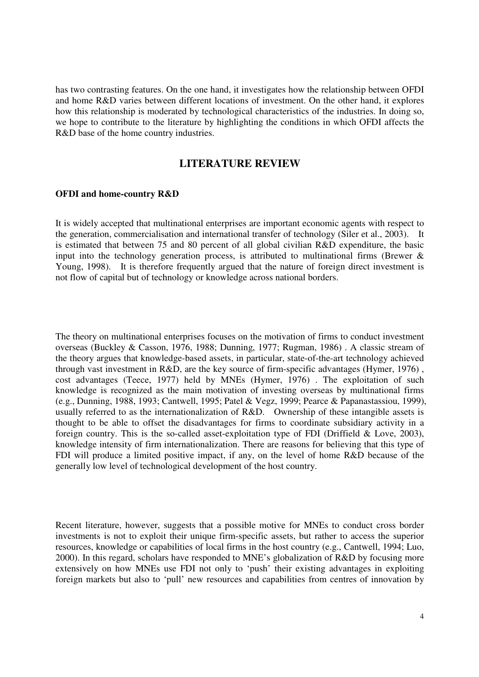has two contrasting features. On the one hand, it investigates how the relationship between OFDI and home R&D varies between different locations of investment. On the other hand, it explores how this relationship is moderated by technological characteristics of the industries. In doing so, we hope to contribute to the literature by highlighting the conditions in which OFDI affects the R&D base of the home country industries.

## **LITERATURE REVIEW**

#### **OFDI and home-country R&D**

It is widely accepted that multinational enterprises are important economic agents with respect to the generation, commercialisation and international transfer of technology (Siler et al., 2003). It is estimated that between 75 and 80 percent of all global civilian R&D expenditure, the basic input into the technology generation process, is attributed to multinational firms (Brewer  $\&$ Young, 1998). It is therefore frequently argued that the nature of foreign direct investment is not flow of capital but of technology or knowledge across national borders.

The theory on multinational enterprises focuses on the motivation of firms to conduct investment overseas (Buckley & Casson, 1976, 1988; Dunning, 1977; Rugman, 1986) . A classic stream of the theory argues that knowledge-based assets, in particular, state-of-the-art technology achieved through vast investment in R&D, are the key source of firm-specific advantages (Hymer, 1976) , cost advantages (Teece, 1977) held by MNEs (Hymer, 1976) . The exploitation of such knowledge is recognized as the main motivation of investing overseas by multinational firms (e.g., Dunning, 1988, 1993; Cantwell, 1995; Patel & Vegz, 1999; Pearce & Papanastassiou, 1999), usually referred to as the internationalization of R&D. Ownership of these intangible assets is thought to be able to offset the disadvantages for firms to coordinate subsidiary activity in a foreign country. This is the so-called asset-exploitation type of FDI (Driffield & Love, 2003), knowledge intensity of firm internationalization. There are reasons for believing that this type of FDI will produce a limited positive impact, if any, on the level of home R&D because of the generally low level of technological development of the host country.

Recent literature, however, suggests that a possible motive for MNEs to conduct cross border investments is not to exploit their unique firm-specific assets, but rather to access the superior resources, knowledge or capabilities of local firms in the host country (e.g., Cantwell, 1994; Luo, 2000). In this regard, scholars have responded to MNE's globalization of R&D by focusing more extensively on how MNEs use FDI not only to 'push' their existing advantages in exploiting foreign markets but also to 'pull' new resources and capabilities from centres of innovation by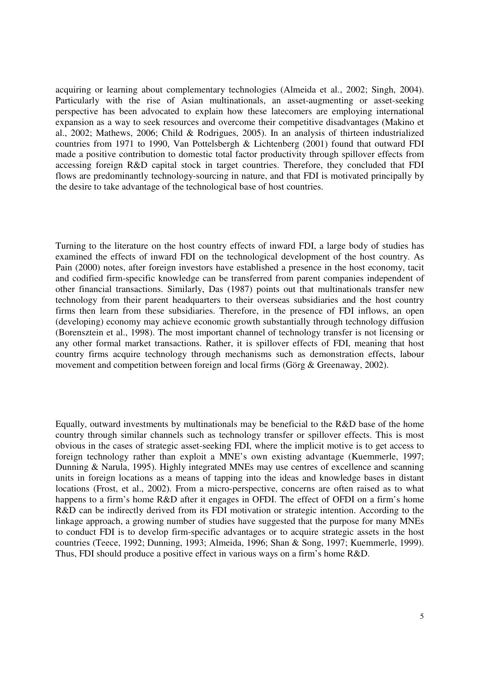acquiring or learning about complementary technologies (Almeida et al., 2002; Singh, 2004). Particularly with the rise of Asian multinationals, an asset-augmenting or asset-seeking perspective has been advocated to explain how these latecomers are employing international expansion as a way to seek resources and overcome their competitive disadvantages (Makino et al., 2002; Mathews, 2006; Child & Rodrigues, 2005). In an analysis of thirteen industrialized countries from 1971 to 1990, Van Pottelsbergh & Lichtenberg (2001) found that outward FDI made a positive contribution to domestic total factor productivity through spillover effects from accessing foreign R&D capital stock in target countries. Therefore, they concluded that FDI flows are predominantly technology-sourcing in nature, and that FDI is motivated principally by the desire to take advantage of the technological base of host countries.

Turning to the literature on the host country effects of inward FDI, a large body of studies has examined the effects of inward FDI on the technological development of the host country. As Pain (2000) notes, after foreign investors have established a presence in the host economy, tacit and codified firm-specific knowledge can be transferred from parent companies independent of other financial transactions. Similarly, Das (1987) points out that multinationals transfer new technology from their parent headquarters to their overseas subsidiaries and the host country firms then learn from these subsidiaries. Therefore, in the presence of FDI inflows, an open (developing) economy may achieve economic growth substantially through technology diffusion (Borensztein et al., 1998). The most important channel of technology transfer is not licensing or any other formal market transactions. Rather, it is spillover effects of FDI, meaning that host country firms acquire technology through mechanisms such as demonstration effects, labour movement and competition between foreign and local firms (Görg & Greenaway, 2002).

Equally, outward investments by multinationals may be beneficial to the R&D base of the home country through similar channels such as technology transfer or spillover effects. This is most obvious in the cases of strategic asset-seeking FDI, where the implicit motive is to get access to foreign technology rather than exploit a MNE's own existing advantage (Kuemmerle, 1997; Dunning & Narula, 1995). Highly integrated MNEs may use centres of excellence and scanning units in foreign locations as a means of tapping into the ideas and knowledge bases in distant locations (Frost, et al., 2002). From a micro-perspective, concerns are often raised as to what happens to a firm's home R&D after it engages in OFDI. The effect of OFDI on a firm's home R&D can be indirectly derived from its FDI motivation or strategic intention. According to the linkage approach, a growing number of studies have suggested that the purpose for many MNEs to conduct FDI is to develop firm-specific advantages or to acquire strategic assets in the host countries (Teece, 1992; Dunning, 1993; Almeida, 1996; Shan & Song, 1997; Kuemmerle, 1999). Thus, FDI should produce a positive effect in various ways on a firm's home R&D.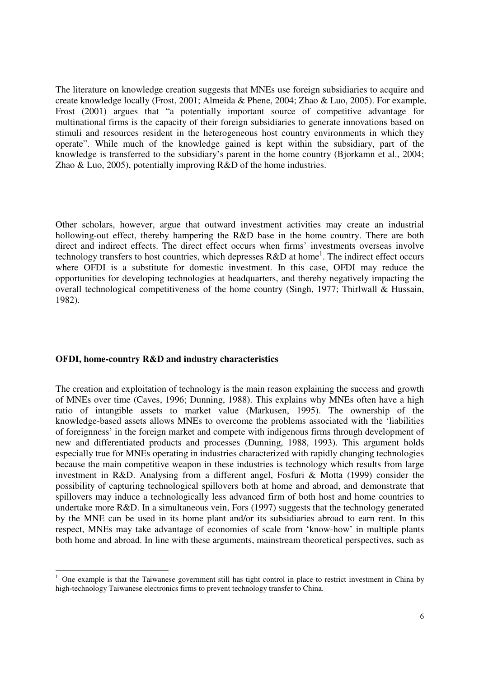The literature on knowledge creation suggests that MNEs use foreign subsidiaries to acquire and create knowledge locally (Frost, 2001; Almeida & Phene, 2004; Zhao & Luo, 2005). For example, Frost (2001) argues that "a potentially important source of competitive advantage for multinational firms is the capacity of their foreign subsidiaries to generate innovations based on stimuli and resources resident in the heterogeneous host country environments in which they operate". While much of the knowledge gained is kept within the subsidiary, part of the knowledge is transferred to the subsidiary's parent in the home country (Bjorkamn et al., 2004; Zhao & Luo, 2005), potentially improving R&D of the home industries.

Other scholars, however, argue that outward investment activities may create an industrial hollowing-out effect, thereby hampering the R&D base in the home country. There are both direct and indirect effects. The direct effect occurs when firms' investments overseas involve technology transfers to host countries, which depresses  $R&D$  at home<sup>1</sup>. The indirect effect occurs where OFDI is a substitute for domestic investment. In this case, OFDI may reduce the opportunities for developing technologies at headquarters, and thereby negatively impacting the overall technological competitiveness of the home country (Singh, 1977; Thirlwall & Hussain, 1982).

### **OFDI, home-country R&D and industry characteristics**

 $\overline{a}$ 

The creation and exploitation of technology is the main reason explaining the success and growth of MNEs over time (Caves, 1996; Dunning, 1988). This explains why MNEs often have a high ratio of intangible assets to market value (Markusen, 1995). The ownership of the knowledge-based assets allows MNEs to overcome the problems associated with the 'liabilities of foreignness' in the foreign market and compete with indigenous firms through development of new and differentiated products and processes (Dunning, 1988, 1993). This argument holds especially true for MNEs operating in industries characterized with rapidly changing technologies because the main competitive weapon in these industries is technology which results from large investment in R&D. Analysing from a different angel, Fosfuri & Motta (1999) consider the possibility of capturing technological spillovers both at home and abroad, and demonstrate that spillovers may induce a technologically less advanced firm of both host and home countries to undertake more R&D. In a simultaneous vein, Fors (1997) suggests that the technology generated by the MNE can be used in its home plant and/or its subsidiaries abroad to earn rent. In this respect, MNEs may take advantage of economies of scale from 'know-how' in multiple plants both home and abroad. In line with these arguments, mainstream theoretical perspectives, such as

<sup>1</sup> One example is that the Taiwanese government still has tight control in place to restrict investment in China by high-technology Taiwanese electronics firms to prevent technology transfer to China.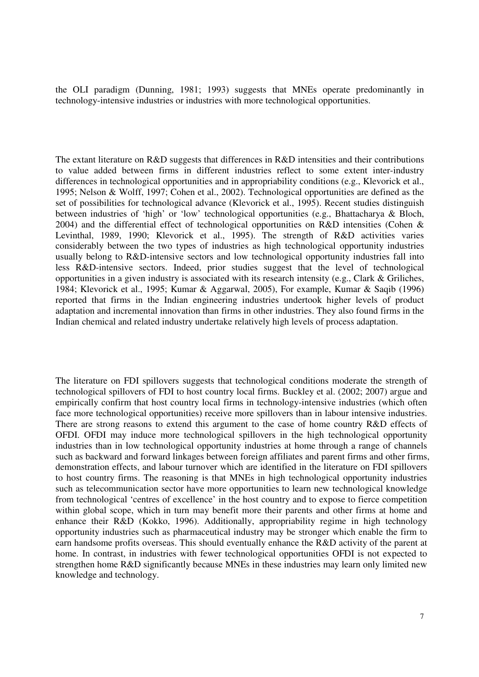the OLI paradigm (Dunning, 1981; 1993) suggests that MNEs operate predominantly in technology-intensive industries or industries with more technological opportunities.

The extant literature on R&D suggests that differences in R&D intensities and their contributions to value added between firms in different industries reflect to some extent inter-industry differences in technological opportunities and in appropriability conditions (e.g., Klevorick et al., 1995; Nelson & Wolff, 1997; Cohen et al., 2002). Technological opportunities are defined as the set of possibilities for technological advance (Klevorick et al., 1995). Recent studies distinguish between industries of 'high' or 'low' technological opportunities (e.g., Bhattacharya & Bloch, 2004) and the differential effect of technological opportunities on R&D intensities (Cohen & Levinthal, 1989, 1990; Klevorick et al., 1995). The strength of R&D activities varies considerably between the two types of industries as high technological opportunity industries usually belong to R&D-intensive sectors and low technological opportunity industries fall into less R&D-intensive sectors. Indeed, prior studies suggest that the level of technological opportunities in a given industry is associated with its research intensity (e.g., Clark & Griliches, 1984; Klevorick et al., 1995; Kumar & Aggarwal, 2005), For example, Kumar & Saqib (1996) reported that firms in the Indian engineering industries undertook higher levels of product adaptation and incremental innovation than firms in other industries. They also found firms in the Indian chemical and related industry undertake relatively high levels of process adaptation.

The literature on FDI spillovers suggests that technological conditions moderate the strength of technological spillovers of FDI to host country local firms. Buckley et al. (2002; 2007) argue and empirically confirm that host country local firms in technology-intensive industries (which often face more technological opportunities) receive more spillovers than in labour intensive industries. There are strong reasons to extend this argument to the case of home country R&D effects of OFDI. OFDI may induce more technological spillovers in the high technological opportunity industries than in low technological opportunity industries at home through a range of channels such as backward and forward linkages between foreign affiliates and parent firms and other firms, demonstration effects, and labour turnover which are identified in the literature on FDI spillovers to host country firms. The reasoning is that MNEs in high technological opportunity industries such as telecommunication sector have more opportunities to learn new technological knowledge from technological 'centres of excellence' in the host country and to expose to fierce competition within global scope, which in turn may benefit more their parents and other firms at home and enhance their R&D (Kokko, 1996). Additionally, appropriability regime in high technology opportunity industries such as pharmaceutical industry may be stronger which enable the firm to earn handsome profits overseas. This should eventually enhance the R&D activity of the parent at home. In contrast, in industries with fewer technological opportunities OFDI is not expected to strengthen home R&D significantly because MNEs in these industries may learn only limited new knowledge and technology.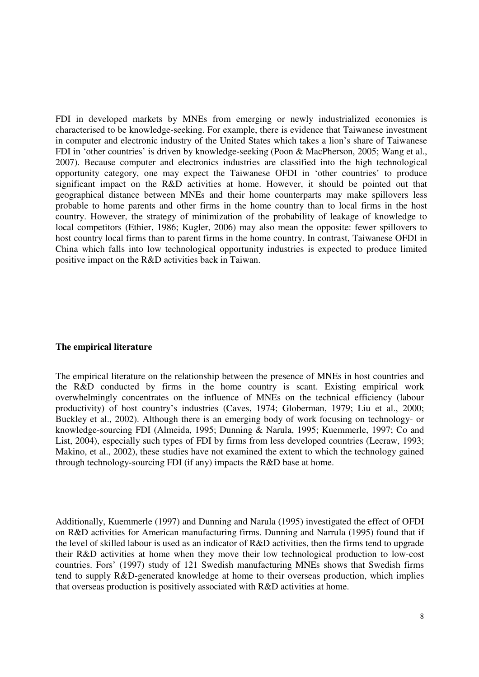FDI in developed markets by MNEs from emerging or newly industrialized economies is characterised to be knowledge-seeking. For example, there is evidence that Taiwanese investment in computer and electronic industry of the United States which takes a lion's share of Taiwanese FDI in 'other countries' is driven by knowledge-seeking (Poon & MacPherson, 2005; Wang et al., 2007). Because computer and electronics industries are classified into the high technological opportunity category, one may expect the Taiwanese OFDI in 'other countries' to produce significant impact on the R&D activities at home. However, it should be pointed out that geographical distance between MNEs and their home counterparts may make spillovers less probable to home parents and other firms in the home country than to local firms in the host country. However, the strategy of minimization of the probability of leakage of knowledge to local competitors (Ethier, 1986; Kugler, 2006) may also mean the opposite: fewer spillovers to host country local firms than to parent firms in the home country. In contrast, Taiwanese OFDI in China which falls into low technological opportunity industries is expected to produce limited positive impact on the R&D activities back in Taiwan.

### **The empirical literature**

The empirical literature on the relationship between the presence of MNEs in host countries and the R&D conducted by firms in the home country is scant. Existing empirical work overwhelmingly concentrates on the influence of MNEs on the technical efficiency (labour productivity) of host country's industries (Caves, 1974; Globerman, 1979; Liu et al., 2000; Buckley et al., 2002). Although there is an emerging body of work focusing on technology- or knowledge-sourcing FDI (Almeida, 1995; Dunning & Narula, 1995; Kuemmerle, 1997; Co and List, 2004), especially such types of FDI by firms from less developed countries (Lecraw, 1993; Makino, et al., 2002), these studies have not examined the extent to which the technology gained through technology-sourcing FDI (if any) impacts the R&D base at home.

Additionally, Kuemmerle (1997) and Dunning and Narula (1995) investigated the effect of OFDI on R&D activities for American manufacturing firms. Dunning and Narrula (1995) found that if the level of skilled labour is used as an indicator of R&D activities, then the firms tend to upgrade their R&D activities at home when they move their low technological production to low-cost countries. Fors' (1997) study of 121 Swedish manufacturing MNEs shows that Swedish firms tend to supply R&D-generated knowledge at home to their overseas production, which implies that overseas production is positively associated with R&D activities at home.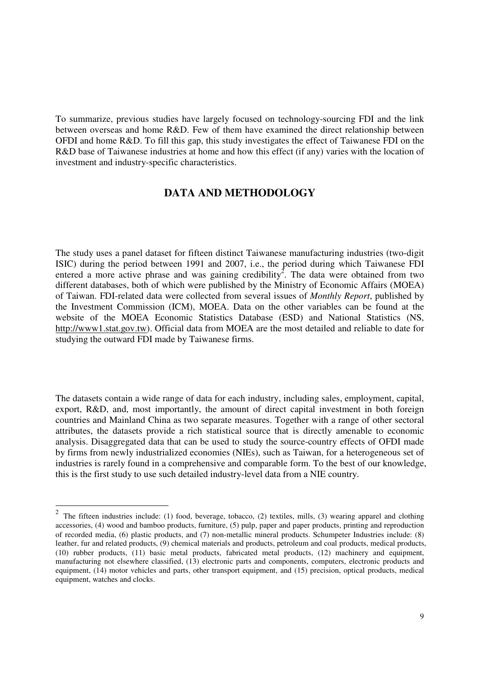To summarize, previous studies have largely focused on technology-sourcing FDI and the link between overseas and home R&D. Few of them have examined the direct relationship between OFDI and home R&D. To fill this gap, this study investigates the effect of Taiwanese FDI on the R&D base of Taiwanese industries at home and how this effect (if any) varies with the location of investment and industry-specific characteristics.

# **DATA AND METHODOLOGY**

The study uses a panel dataset for fifteen distinct Taiwanese manufacturing industries (two-digit ISIC) during the period between 1991 and 2007, i.e., the period during which Taiwanese FDI entered a more active phrase and was gaining credibility<sup>2</sup>. The data were obtained from two different databases, both of which were published by the Ministry of Economic Affairs (MOEA) of Taiwan. FDI-related data were collected from several issues of *Monthly Report*, published by the Investment Commission (ICM), MOEA. Data on the other variables can be found at the website of the MOEA Economic Statistics Database (ESD) and National Statistics (NS, http://www1.stat.gov.tw). Official data from MOEA are the most detailed and reliable to date for studying the outward FDI made by Taiwanese firms.

The datasets contain a wide range of data for each industry, including sales, employment, capital, export, R&D, and, most importantly, the amount of direct capital investment in both foreign countries and Mainland China as two separate measures. Together with a range of other sectoral attributes, the datasets provide a rich statistical source that is directly amenable to economic analysis. Disaggregated data that can be used to study the source-country effects of OFDI made by firms from newly industrialized economies (NIEs), such as Taiwan, for a heterogeneous set of industries is rarely found in a comprehensive and comparable form. To the best of our knowledge, this is the first study to use such detailed industry-level data from a NIE country.

<sup>&</sup>lt;sup>2</sup> The fifteen industries include: (1) food, beverage, tobacco, (2) textiles, mills, (3) wearing apparel and clothing accessories, (4) wood and bamboo products, furniture, (5) pulp, paper and paper products, printing and reproduction of recorded media, (6) plastic products, and (7) non-metallic mineral products. Schumpeter Industries include: (8) leather, fur and related products, (9) chemical materials and products, petroleum and coal products, medical products, (10) rubber products, (11) basic metal products, fabricated metal products, (12) machinery and equipment, manufacturing not elsewhere classified, (13) electronic parts and components, computers, electronic products and equipment, (14) motor vehicles and parts, other transport equipment, and (15) precision, optical products, medical equipment, watches and clocks.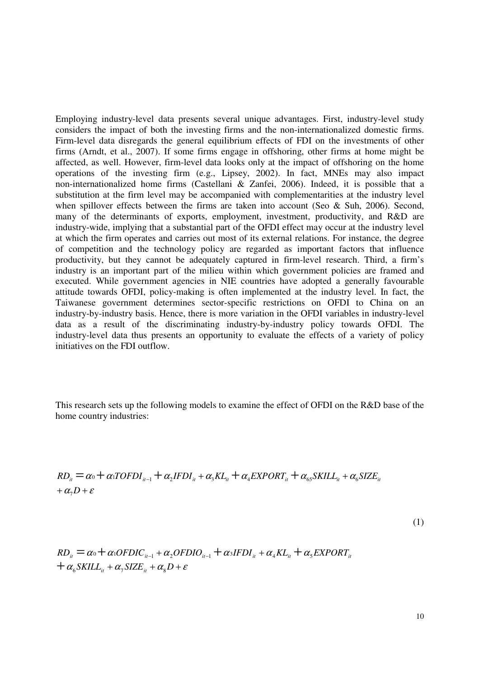Employing industry-level data presents several unique advantages. First, industry-level study considers the impact of both the investing firms and the non-internationalized domestic firms. Firm-level data disregards the general equilibrium effects of FDI on the investments of other firms (Arndt, et al., 2007). If some firms engage in offshoring, other firms at home might be affected, as well. However, firm-level data looks only at the impact of offshoring on the home operations of the investing firm (e.g., Lipsey, 2002). In fact, MNEs may also impact non-internationalized home firms (Castellani & Zanfei, 2006). Indeed, it is possible that a substitution at the firm level may be accompanied with complementarities at the industry level when spillover effects between the firms are taken into account (Seo & Suh, 2006). Second, many of the determinants of exports, employment, investment, productivity, and R&D are industry-wide, implying that a substantial part of the OFDI effect may occur at the industry level at which the firm operates and carries out most of its external relations. For instance, the degree of competition and the technology policy are regarded as important factors that influence productivity, but they cannot be adequately captured in firm-level research. Third, a firm's industry is an important part of the milieu within which government policies are framed and executed. While government agencies in NIE countries have adopted a generally favourable attitude towards OFDI, policy-making is often implemented at the industry level. In fact, the Taiwanese government determines sector-specific restrictions on OFDI to China on an industry-by-industry basis. Hence, there is more variation in the OFDI variables in industry-level data as a result of the discriminating industry-by-industry policy towards OFDI. The industry-level data thus presents an opportunity to evaluate the effects of a variety of policy initiatives on the FDI outflow.

This research sets up the following models to examine the effect of OFDI on the R&D base of the home country industries:

$$
RD_{ii} = \alpha_0 + \alpha_1 TOFDI_{i-1} + \alpha_2 IFDI_{i} + \alpha_3 KL_{i} + \alpha_4 EXPORT_{i} + \alpha_{65} SAL_{i} + \alpha_6 SIZE_{i} + \alpha_7 D + \varepsilon
$$

(1)

$$
RD_{ii} = \alpha_0 + \alpha_1 OFDIC_{i-1} + \alpha_2 OF DIO_{i-1} + \alpha_3 IFDI_{i} + \alpha_4 KL_{i} + \alpha_5 EXPORT_{i}
$$
  
+  $\alpha_6 SKILL_{i} + \alpha_7 SIZE_{i} + \alpha_8 D + \varepsilon$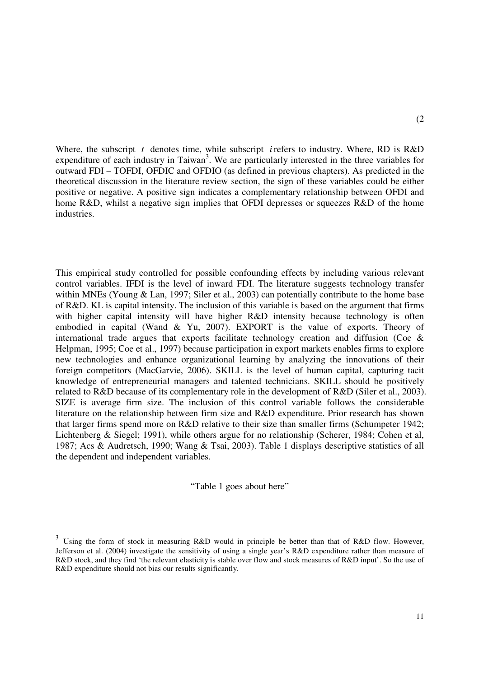Where, the subscript *t* denotes time, while subscript *i* refers to industry. Where, RD is R&D expenditure of each industry in Taiwan<sup>3</sup>. We are particularly interested in the three variables for outward FDI – TOFDI, OFDIC and OFDIO (as defined in previous chapters). As predicted in the theoretical discussion in the literature review section, the sign of these variables could be either positive or negative. A positive sign indicates a complementary relationship between OFDI and home R&D, whilst a negative sign implies that OFDI depresses or squeezes R&D of the home industries.

This empirical study controlled for possible confounding effects by including various relevant control variables. IFDI is the level of inward FDI. The literature suggests technology transfer within MNEs (Young & Lan, 1997; Siler et al., 2003) can potentially contribute to the home base of R&D. KL is capital intensity. The inclusion of this variable is based on the argument that firms with higher capital intensity will have higher R&D intensity because technology is often embodied in capital (Wand & Yu, 2007). EXPORT is the value of exports. Theory of international trade argues that exports facilitate technology creation and diffusion (Coe  $\&$ Helpman, 1995; Coe et al., 1997) because participation in export markets enables firms to explore new technologies and enhance organizational learning by analyzing the innovations of their foreign competitors (MacGarvie, 2006). SKILL is the level of human capital, capturing tacit knowledge of entrepreneurial managers and talented technicians. SKILL should be positively related to R&D because of its complementary role in the development of R&D (Siler et al., 2003). SIZE is average firm size. The inclusion of this control variable follows the considerable literature on the relationship between firm size and R&D expenditure. Prior research has shown that larger firms spend more on R&D relative to their size than smaller firms (Schumpeter 1942; Lichtenberg & Siegel; 1991), while others argue for no relationship (Scherer, 1984; Cohen et al, 1987; Acs & Audretsch, 1990; Wang & Tsai, 2003). Table 1 displays descriptive statistics of all the dependent and independent variables.

"Table 1 goes about here"

 $\overline{a}$ 

<sup>3</sup> Using the form of stock in measuring R&D would in principle be better than that of R&D flow. However, Jefferson et al. (2004) investigate the sensitivity of using a single year's R&D expenditure rather than measure of R&D stock, and they find 'the relevant elasticity is stable over flow and stock measures of R&D input'. So the use of R&D expenditure should not bias our results significantly.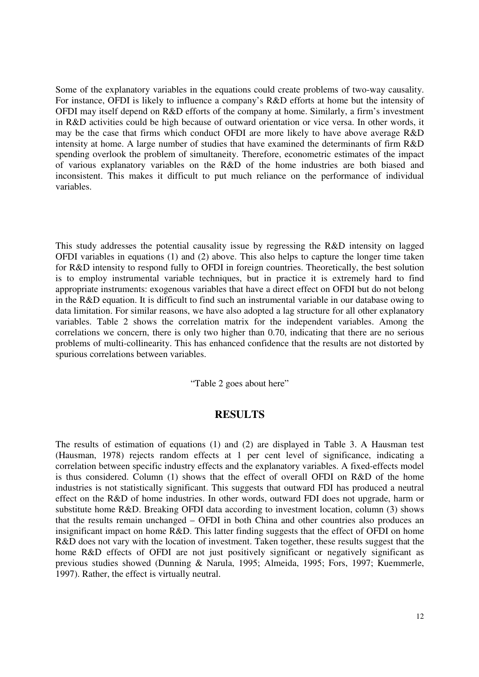Some of the explanatory variables in the equations could create problems of two-way causality. For instance, OFDI is likely to influence a company's R&D efforts at home but the intensity of OFDI may itself depend on R&D efforts of the company at home. Similarly, a firm's investment in R&D activities could be high because of outward orientation or vice versa. In other words, it may be the case that firms which conduct OFDI are more likely to have above average R&D intensity at home. A large number of studies that have examined the determinants of firm R&D spending overlook the problem of simultaneity. Therefore, econometric estimates of the impact of various explanatory variables on the R&D of the home industries are both biased and inconsistent. This makes it difficult to put much reliance on the performance of individual variables.

This study addresses the potential causality issue by regressing the R&D intensity on lagged OFDI variables in equations (1) and (2) above. This also helps to capture the longer time taken for R&D intensity to respond fully to OFDI in foreign countries. Theoretically, the best solution is to employ instrumental variable techniques, but in practice it is extremely hard to find appropriate instruments: exogenous variables that have a direct effect on OFDI but do not belong in the R&D equation. It is difficult to find such an instrumental variable in our database owing to data limitation. For similar reasons, we have also adopted a lag structure for all other explanatory variables. Table 2 shows the correlation matrix for the independent variables. Among the correlations we concern, there is only two higher than 0.70, indicating that there are no serious problems of multi-collinearity. This has enhanced confidence that the results are not distorted by spurious correlations between variables.

"Table 2 goes about here"

# **RESULTS**

The results of estimation of equations (1) and (2) are displayed in Table 3. A Hausman test (Hausman, 1978) rejects random effects at 1 per cent level of significance, indicating a correlation between specific industry effects and the explanatory variables. A fixed-effects model is thus considered. Column (1) shows that the effect of overall OFDI on R&D of the home industries is not statistically significant. This suggests that outward FDI has produced a neutral effect on the R&D of home industries. In other words, outward FDI does not upgrade, harm or substitute home R&D. Breaking OFDI data according to investment location, column (3) shows that the results remain unchanged – OFDI in both China and other countries also produces an insignificant impact on home R&D. This latter finding suggests that the effect of OFDI on home R&D does not vary with the location of investment. Taken together, these results suggest that the home R&D effects of OFDI are not just positively significant or negatively significant as previous studies showed (Dunning & Narula, 1995; Almeida, 1995; Fors, 1997; Kuemmerle, 1997). Rather, the effect is virtually neutral.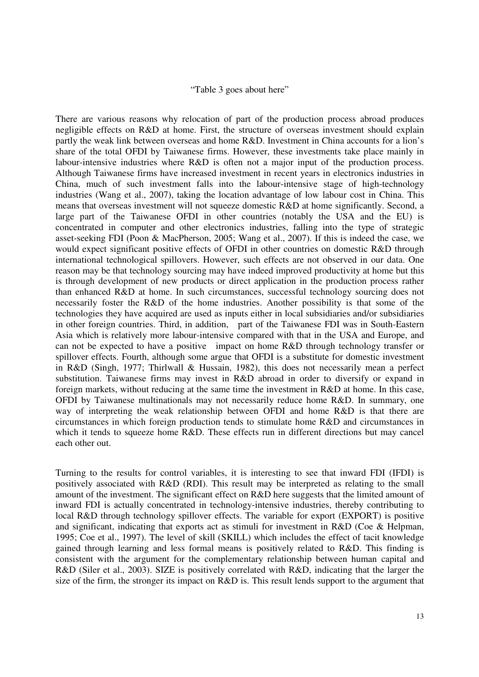#### "Table 3 goes about here"

There are various reasons why relocation of part of the production process abroad produces negligible effects on R&D at home. First, the structure of overseas investment should explain partly the weak link between overseas and home R&D. Investment in China accounts for a lion's share of the total OFDI by Taiwanese firms. However, these investments take place mainly in labour-intensive industries where R&D is often not a major input of the production process. Although Taiwanese firms have increased investment in recent years in electronics industries in China, much of such investment falls into the labour-intensive stage of high-technology industries (Wang et al., 2007), taking the location advantage of low labour cost in China. This means that overseas investment will not squeeze domestic R&D at home significantly. Second, a large part of the Taiwanese OFDI in other countries (notably the USA and the EU) is concentrated in computer and other electronics industries, falling into the type of strategic asset-seeking FDI (Poon & MacPherson, 2005; Wang et al., 2007). If this is indeed the case, we would expect significant positive effects of OFDI in other countries on domestic R&D through international technological spillovers. However, such effects are not observed in our data. One reason may be that technology sourcing may have indeed improved productivity at home but this is through development of new products or direct application in the production process rather than enhanced R&D at home. In such circumstances, successful technology sourcing does not necessarily foster the R&D of the home industries. Another possibility is that some of the technologies they have acquired are used as inputs either in local subsidiaries and/or subsidiaries in other foreign countries. Third, in addition, part of the Taiwanese FDI was in South-Eastern Asia which is relatively more labour-intensive compared with that in the USA and Europe, and can not be expected to have a positive impact on home R&D through technology transfer or spillover effects. Fourth, although some argue that OFDI is a substitute for domestic investment in R&D (Singh, 1977; Thirlwall & Hussain, 1982), this does not necessarily mean a perfect substitution. Taiwanese firms may invest in R&D abroad in order to diversify or expand in foreign markets, without reducing at the same time the investment in R&D at home. In this case, OFDI by Taiwanese multinationals may not necessarily reduce home R&D. In summary, one way of interpreting the weak relationship between OFDI and home R&D is that there are circumstances in which foreign production tends to stimulate home R&D and circumstances in which it tends to squeeze home R&D. These effects run in different directions but may cancel each other out.

Turning to the results for control variables, it is interesting to see that inward FDI (IFDI) is positively associated with R&D (RDI). This result may be interpreted as relating to the small amount of the investment. The significant effect on R&D here suggests that the limited amount of inward FDI is actually concentrated in technology-intensive industries, thereby contributing to local R&D through technology spillover effects. The variable for export (EXPORT) is positive and significant, indicating that exports act as stimuli for investment in R&D (Coe & Helpman, 1995; Coe et al., 1997). The level of skill (SKILL) which includes the effect of tacit knowledge gained through learning and less formal means is positively related to R&D. This finding is consistent with the argument for the complementary relationship between human capital and R&D (Siler et al., 2003). SIZE is positively correlated with R&D, indicating that the larger the size of the firm, the stronger its impact on R&D is. This result lends support to the argument that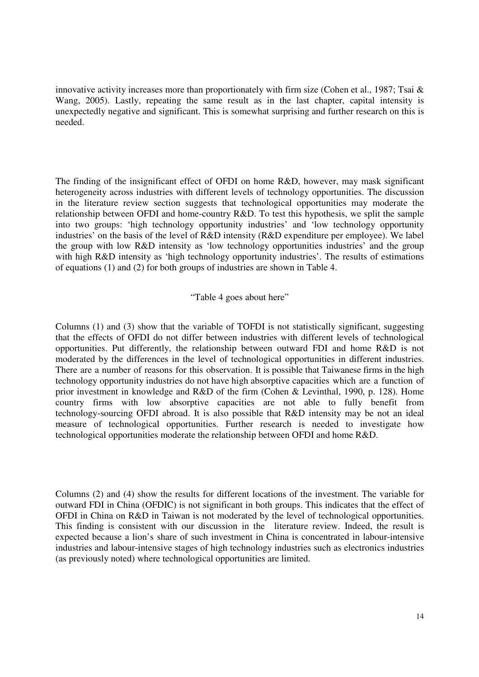innovative activity increases more than proportionately with firm size (Cohen et al., 1987; Tsai  $\&$ Wang, 2005). Lastly, repeating the same result as in the last chapter, capital intensity is unexpectedly negative and significant. This is somewhat surprising and further research on this is needed.

The finding of the insignificant effect of OFDI on home R&D, however, may mask significant heterogeneity across industries with different levels of technology opportunities. The discussion in the literature review section suggests that technological opportunities may moderate the relationship between OFDI and home-country R&D. To test this hypothesis, we split the sample into two groups: 'high technology opportunity industries' and 'low technology opportunity industries' on the basis of the level of R&D intensity (R&D expenditure per employee). We label the group with low R&D intensity as 'low technology opportunities industries' and the group with high R&D intensity as 'high technology opportunity industries'. The results of estimations of equations (1) and (2) for both groups of industries are shown in Table 4.

"Table 4 goes about here"

Columns (1) and (3) show that the variable of TOFDI is not statistically significant, suggesting that the effects of OFDI do not differ between industries with different levels of technological opportunities. Put differently, the relationship between outward FDI and home R&D is not moderated by the differences in the level of technological opportunities in different industries. There are a number of reasons for this observation. It is possible that Taiwanese firms in the high technology opportunity industries do not have high absorptive capacities which are a function of prior investment in knowledge and R&D of the firm (Cohen & Levinthal, 1990, p. 128). Home country firms with low absorptive capacities are not able to fully benefit from technology-sourcing OFDI abroad. It is also possible that R&D intensity may be not an ideal measure of technological opportunities. Further research is needed to investigate how technological opportunities moderate the relationship between OFDI and home R&D.

Columns (2) and (4) show the results for different locations of the investment. The variable for outward FDI in China (OFDIC) is not significant in both groups. This indicates that the effect of OFDI in China on R&D in Taiwan is not moderated by the level of technological opportunities. This finding is consistent with our discussion in the literature review. Indeed, the result is expected because a lion's share of such investment in China is concentrated in labour-intensive industries and labour-intensive stages of high technology industries such as electronics industries (as previously noted) where technological opportunities are limited.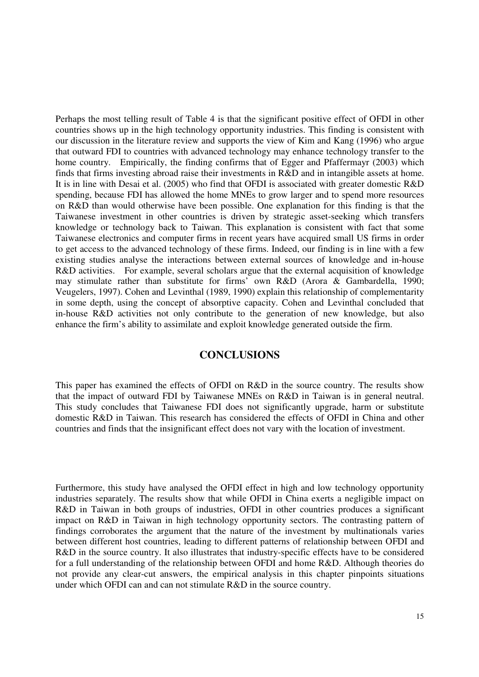Perhaps the most telling result of Table 4 is that the significant positive effect of OFDI in other countries shows up in the high technology opportunity industries. This finding is consistent with our discussion in the literature review and supports the view of Kim and Kang (1996) who argue that outward FDI to countries with advanced technology may enhance technology transfer to the home country. Empirically, the finding confirms that of Egger and Pfaffermayr (2003) which finds that firms investing abroad raise their investments in R&D and in intangible assets at home. It is in line with Desai et al. (2005) who find that OFDI is associated with greater domestic R&D spending, because FDI has allowed the home MNEs to grow larger and to spend more resources on R&D than would otherwise have been possible. One explanation for this finding is that the Taiwanese investment in other countries is driven by strategic asset-seeking which transfers knowledge or technology back to Taiwan. This explanation is consistent with fact that some Taiwanese electronics and computer firms in recent years have acquired small US firms in order to get access to the advanced technology of these firms. Indeed, our finding is in line with a few existing studies analyse the interactions between external sources of knowledge and in-house R&D activities. For example, several scholars argue that the external acquisition of knowledge may stimulate rather than substitute for firms' own R&D (Arora & Gambardella, 1990; Veugelers, 1997). Cohen and Levinthal (1989, 1990) explain this relationship of complementarity in some depth, using the concept of absorptive capacity. Cohen and Levinthal concluded that in-house R&D activities not only contribute to the generation of new knowledge, but also enhance the firm's ability to assimilate and exploit knowledge generated outside the firm.

## **CONCLUSIONS**

This paper has examined the effects of OFDI on R&D in the source country. The results show that the impact of outward FDI by Taiwanese MNEs on R&D in Taiwan is in general neutral. This study concludes that Taiwanese FDI does not significantly upgrade, harm or substitute domestic R&D in Taiwan. This research has considered the effects of OFDI in China and other countries and finds that the insignificant effect does not vary with the location of investment.

Furthermore, this study have analysed the OFDI effect in high and low technology opportunity industries separately. The results show that while OFDI in China exerts a negligible impact on R&D in Taiwan in both groups of industries, OFDI in other countries produces a significant impact on R&D in Taiwan in high technology opportunity sectors. The contrasting pattern of findings corroborates the argument that the nature of the investment by multinationals varies between different host countries, leading to different patterns of relationship between OFDI and R&D in the source country. It also illustrates that industry-specific effects have to be considered for a full understanding of the relationship between OFDI and home R&D. Although theories do not provide any clear-cut answers, the empirical analysis in this chapter pinpoints situations under which OFDI can and can not stimulate R&D in the source country.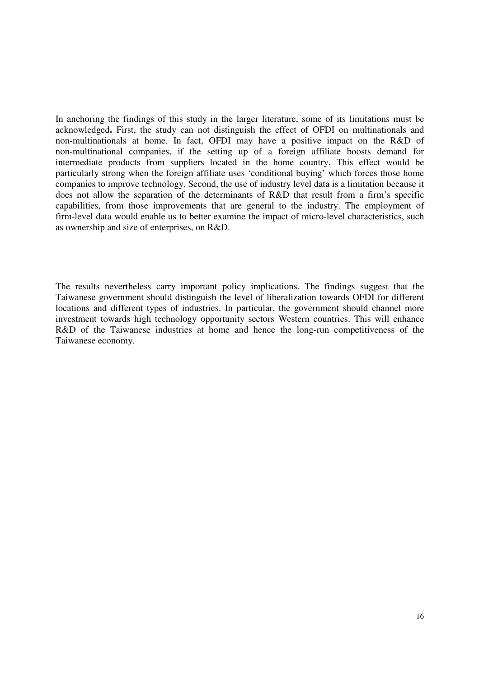In anchoring the findings of this study in the larger literature, some of its limitations must be acknowledged**.** First, the study can not distinguish the effect of OFDI on multinationals and non-multinationals at home. In fact, OFDI may have a positive impact on the R&D of non-multinational companies, if the setting up of a foreign affiliate boosts demand for intermediate products from suppliers located in the home country. This effect would be particularly strong when the foreign affiliate uses 'conditional buying' which forces those home companies to improve technology. Second, the use of industry level data is a limitation because it does not allow the separation of the determinants of R&D that result from a firm's specific capabilities, from those improvements that are general to the industry. The employment of firm-level data would enable us to better examine the impact of micro-level characteristics, such as ownership and size of enterprises, on R&D.

The results nevertheless carry important policy implications. The findings suggest that the Taiwanese government should distinguish the level of liberalization towards OFDI for different locations and different types of industries. In particular, the government should channel more investment towards high technology opportunity sectors Western countries. This will enhance R&D of the Taiwanese industries at home and hence the long-run competitiveness of the Taiwanese economy.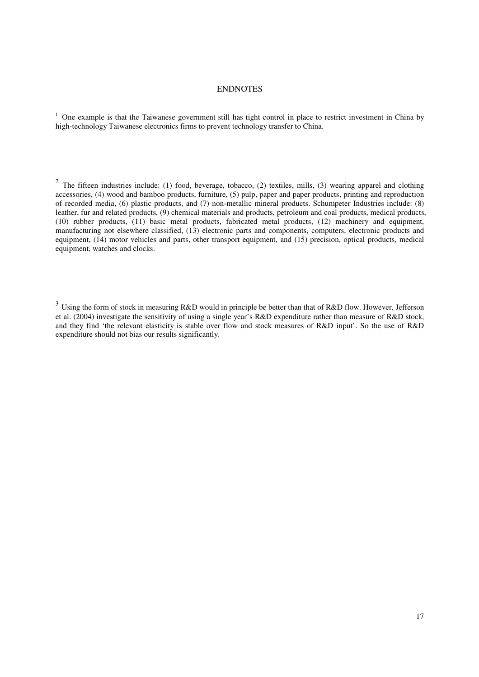### ENDNOTES

<sup>1</sup> One example is that the Taiwanese government still has tight control in place to restrict investment in China by high-technology Taiwanese electronics firms to prevent technology transfer to China.

<sup>2</sup> The fifteen industries include: (1) food, beverage, tobacco, (2) textiles, mills, (3) wearing apparel and clothing accessories, (4) wood and bamboo products, furniture, (5) pulp, paper and paper products, printing and reproduction of recorded media, (6) plastic products, and (7) non-metallic mineral products. Schumpeter Industries include: (8) leather, fur and related products, (9) chemical materials and products, petroleum and coal products, medical products, (10) rubber products, (11) basic metal products, fabricated metal products, (12) machinery and equipment, manufacturing not elsewhere classified, (13) electronic parts and components, computers, electronic products and equipment, (14) motor vehicles and parts, other transport equipment, and (15) precision, optical products, medical equipment, watches and clocks.

<sup>3</sup> Using the form of stock in measuring R&D would in principle be better than that of R&D flow. However, Jefferson et al. (2004) investigate the sensitivity of using a single year's R&D expenditure rather than measure of R&D stock, and they find 'the relevant elasticity is stable over flow and stock measures of R&D input'. So the use of R&D expenditure should not bias our results significantly.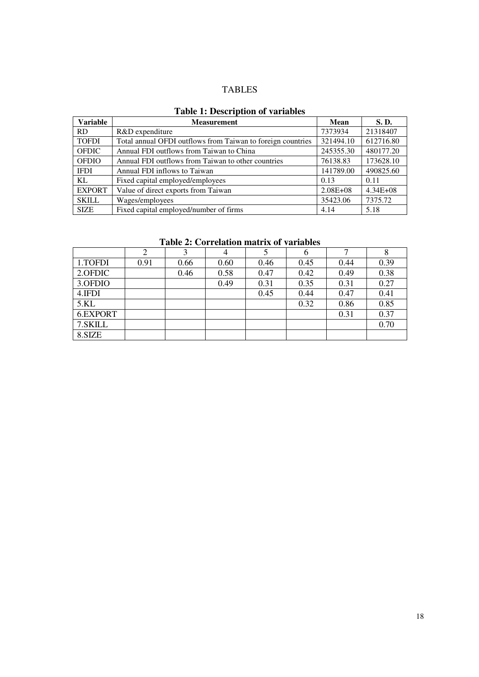# TABLES

### **Table 1: Description of variables**

| <b>Variable</b> | <b>Measurement</b>                                          | <b>Mean</b>  | <b>S.D.</b>  |
|-----------------|-------------------------------------------------------------|--------------|--------------|
| <b>RD</b>       | R&D expenditure                                             | 7373934      | 21318407     |
| <b>TOFDI</b>    | Total annual OFDI outflows from Taiwan to foreign countries | 321494.10    | 612716.80    |
| <b>OFDIC</b>    | Annual FDI outflows from Taiwan to China                    | 245355.30    | 480177.20    |
| <b>OFDIO</b>    | Annual FDI outflows from Taiwan to other countries          | 76138.83     | 173628.10    |
| <b>IFDI</b>     | Annual FDI inflows to Taiwan                                | 141789.00    | 490825.60    |
| KL.             | Fixed capital employed/employees                            | 0.13         | 0.11         |
| <b>EXPORT</b>   | Value of direct exports from Taiwan                         | $2.08E + 08$ | $4.34E + 08$ |
| <b>SKILL</b>    | Wages/employees                                             | 35423.06     | 7375.72      |
| <b>SIZE</b>     | Fixed capital employed/number of firms                      | 4.14         | 5.18         |

# **Table 2: Correlation matrix of variables**

|          | 2    |      | 4    |      | O    |      | $\circ$ |
|----------|------|------|------|------|------|------|---------|
| 1.TOFDI  | 0.91 | 0.66 | 0.60 | 0.46 | 0.45 | 0.44 | 0.39    |
| 2.OFDIC  |      | 0.46 | 0.58 | 0.47 | 0.42 | 0.49 | 0.38    |
| 3.OFDIO  |      |      | 0.49 | 0.31 | 0.35 | 0.31 | 0.27    |
| 4.IFDI   |      |      |      | 0.45 | 0.44 | 0.47 | 0.41    |
| 5.KL     |      |      |      |      | 0.32 | 0.86 | 0.85    |
| 6.EXPORT |      |      |      |      |      | 0.31 | 0.37    |
| 7.SKILL  |      |      |      |      |      |      | 0.70    |
| 8.SIZE   |      |      |      |      |      |      |         |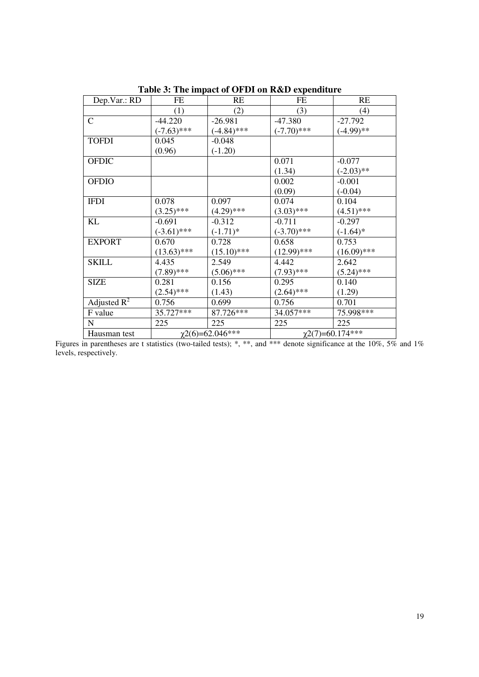| Dep.Var.: RD   | FE                   | RE            | FE                  | RE            |  |
|----------------|----------------------|---------------|---------------------|---------------|--|
|                | (1)                  | (2)           | (3)                 | (4)           |  |
| $\mathsf{C}$   | $-44.220$            | $-26.981$     | $-47.380$           | $-27.792$     |  |
|                | $(-7.63)$ ***        | $(-4.84)$ *** | $(-7.70)$ ***       | $(-4.99)$ **  |  |
| <b>TOFDI</b>   | 0.045                | $-0.048$      |                     |               |  |
|                | (0.96)               | $(-1.20)$     |                     |               |  |
| <b>OFDIC</b>   |                      |               | 0.071               | $-0.077$      |  |
|                |                      |               | (1.34)              | $(-2.03)$ **  |  |
| <b>OFDIO</b>   |                      |               | 0.002               | $-0.001$      |  |
|                |                      |               | (0.09)              | $(-0.04)$     |  |
| <b>IFDI</b>    | 0.078                | 0.097         | 0.074               | 0.104         |  |
|                | $(3.25)$ ***         | $(4.29)$ ***  | $(3.03)$ ***        | $(4.51)$ ***  |  |
| <b>KL</b>      | $-0.691$             | $-0.312$      | $-0.711$            | $-0.297$      |  |
|                | $(-3.61)$ ***        | $(-1.71)^*$   | $(-3.70)$ ***       | $(-1.64)$ *   |  |
| <b>EXPORT</b>  | 0.670                | 0.728         | 0.658               | 0.753         |  |
|                | $(13.63)$ ***        | $(15.10)$ *** | $(12.99)$ ***       | $(16.09)$ *** |  |
| SKILL          | 4.435                | 2.549         | 4.442               | 2.642         |  |
|                | $(7.89)$ ***         | $(5.06)$ ***  | $(7.93)$ ***        | $(5.24)$ ***  |  |
| <b>SIZE</b>    | 0.281                | 0.156         | 0.295               | 0.140         |  |
|                | $(2.54)$ ***         | (1.43)        | $(2.64)$ ***        | (1.29)        |  |
| Adjusted $R^2$ | 0.756                | 0.699         | 0.756               | 0.701         |  |
| F value        | 35.727***            | 87.726***     | 34.057***           | 75.998***     |  |
| $\mathbf N$    | 225                  | 225           | 225                 | 225           |  |
| Hausman test   | $x^{2(6)=62.046***}$ |               | $x^{2(7)=60.174**}$ |               |  |

**Table 3: The impact of OFDI on R&D expenditure** 

Figures in parentheses are t statistics (two-tailed tests); \*, \*\*, and \*\*\* denote significance at the 10%, 5% and 1% levels, respectively.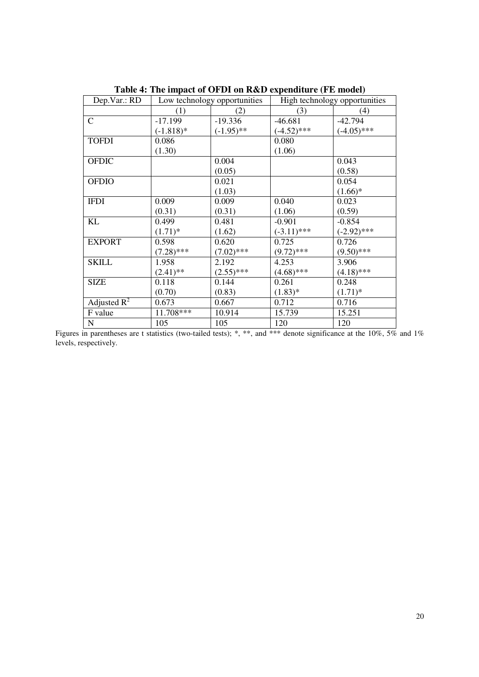| Dep.Var.: RD   | Low technology opportunities |              | High technology opportunities |               |
|----------------|------------------------------|--------------|-------------------------------|---------------|
|                | (1)                          | (2)          | (3)                           | (4)           |
| $\mathsf{C}$   | $-17.199$                    | $-19.336$    | $-46.681$                     | $-42.794$     |
|                | $(-1.818)*$                  | $(-1.95)$ ** | $(-4.52)$ ***                 | $(-4.05)$ *** |
| <b>TOFDI</b>   | 0.086                        |              | 0.080                         |               |
|                | (1.30)                       |              | (1.06)                        |               |
| <b>OFDIC</b>   |                              | 0.004        |                               | 0.043         |
|                |                              | (0.05)       |                               | (0.58)        |
| <b>OFDIO</b>   |                              | 0.021        |                               | 0.054         |
|                |                              | (1.03)       |                               | $(1.66)*$     |
| <b>IFDI</b>    | 0.009                        | 0.009        | 0.040                         | 0.023         |
|                | (0.31)                       | (0.31)       | (1.06)                        | (0.59)        |
| KL             | 0.499                        | 0.481        | $-0.901$                      | $-0.854$      |
|                | $(1.71)^*$                   | (1.62)       | $(-3.11)$ ***                 | $(-2.92)$ *** |
| <b>EXPORT</b>  | 0.598                        | 0.620        | 0.725                         | 0.726         |
|                | $(7.28)$ ***                 | $(7.02)$ *** | $(9.72)$ ***                  | $(9.50)$ ***  |
| <b>SKILL</b>   | 1.958                        | 2.192        | 4.253                         | 3.906         |
|                | $(2.41)$ **                  | $(2.55)$ *** | $(4.68)$ ***                  | $(4.18)$ ***  |
| <b>SIZE</b>    | 0.118                        | 0.144        | 0.261                         | 0.248         |
|                | (0.70)                       | (0.83)       | $(1.83)*$                     | $(1.71)^*$    |
| Adjusted $R^2$ | 0.673                        | 0.667        | 0.712                         | 0.716         |
| F value        | 11.708***                    | 10.914       | 15.739                        | 15.251        |
| $\mathbf N$    | 105                          | 105          | 120                           | 120           |

**Table 4: The impact of OFDI on R&D expenditure (FE model)** 

Figures in parentheses are t statistics (two-tailed tests); \*, \*\*, and \*\*\* denote significance at the 10%, 5% and 1% levels, respectively.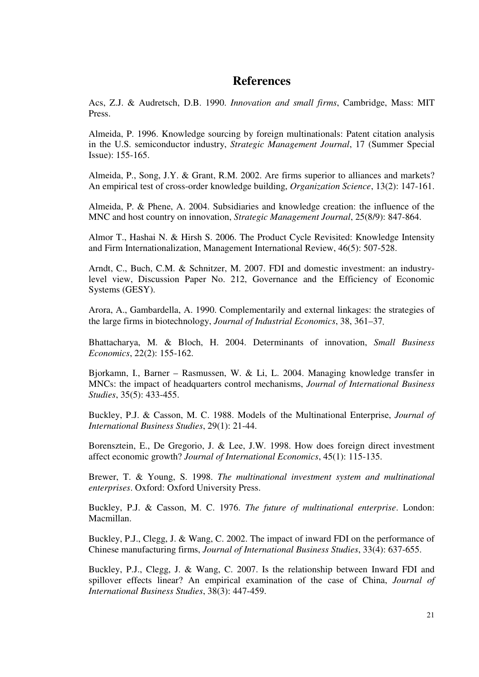# **References**

Acs, Z.J. & Audretsch, D.B. 1990. *Innovation and small firms*, Cambridge, Mass: MIT Press.

Almeida, P. 1996. Knowledge sourcing by foreign multinationals: Patent citation analysis in the U.S. semiconductor industry, *Strategic Management Journal*, 17 (Summer Special Issue): 155-165.

Almeida, P., Song, J.Y. & Grant, R.M. 2002. Are firms superior to alliances and markets? An empirical test of cross-order knowledge building, *Organization Science*, 13(2): 147-161.

Almeida, P. & Phene, A. 2004. Subsidiaries and knowledge creation: the influence of the MNC and host country on innovation, *Strategic Management Journal*, 25(8/9): 847-864.

Almor T., Hashai N. & Hirsh S. 2006. The Product Cycle Revisited: Knowledge Intensity and Firm Internationalization, Management International Review, 46(5): 507-528.

Arndt, C., Buch, C.M. & Schnitzer, M. 2007. FDI and domestic investment: an industrylevel view, Discussion Paper No. 212, Governance and the Efficiency of Economic Systems (GESY).

Arora, A., Gambardella, A. 1990. Complementarily and external linkages: the strategies of the large firms in biotechnology, *Journal of Industrial Economics*, 38, 361–37.

Bhattacharya, M. & Bloch, H. 2004. Determinants of innovation, *Small Business Economics*, 22(2): 155-162.

Bjorkamn, I., Barner – Rasmussen, W. & Li, L. 2004. Managing knowledge transfer in MNCs: the impact of headquarters control mechanisms, *Journal of International Business Studies*, 35(5): 433-455.

Buckley, P.J. & Casson, M. C. 1988. Models of the Multinational Enterprise, *Journal of International Business Studies*, 29(1): 21-44.

Borensztein, E., De Gregorio, J. & Lee, J.W. 1998. How does foreign direct investment affect economic growth? *Journal of International Economics*, 45(1): 115-135.

Brewer, T. & Young, S. 1998. *The multinational investment system and multinational enterprises*. Oxford: Oxford University Press.

Buckley, P.J. & Casson, M. C. 1976. *The future of multinational enterprise*. London: Macmillan.

Buckley, P.J., Clegg, J. & Wang, C. 2002. The impact of inward FDI on the performance of Chinese manufacturing firms, *Journal of International Business Studies*, 33(4): 637-655.

Buckley, P.J., Clegg, J. & Wang, C. 2007. Is the relationship between Inward FDI and spillover effects linear? An empirical examination of the case of China, *Journal of International Business Studies*, 38(3): 447-459.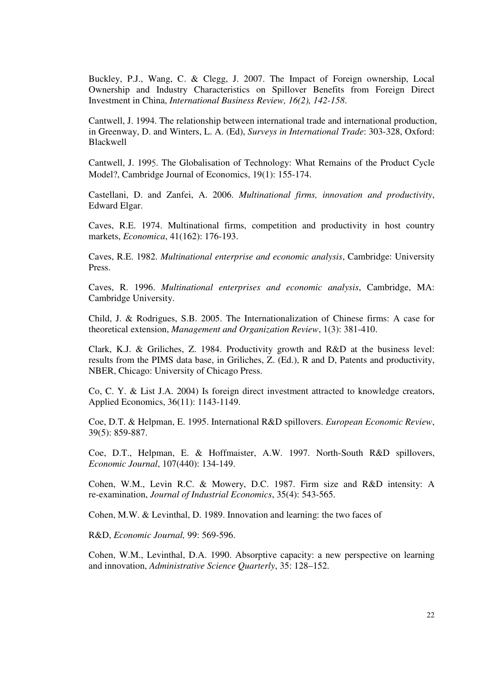Buckley, P.J., Wang, C. & Clegg, J. 2007. The Impact of Foreign ownership, Local Ownership and Industry Characteristics on Spillover Benefits from Foreign Direct Investment in China, *International Business Review, 16(2), 142-158*.

Cantwell, J. 1994. The relationship between international trade and international production, in Greenway, D. and Winters, L. A. (Ed), *Surveys in International Trade*: 303-328, Oxford: Blackwell

Cantwell, J. 1995. The Globalisation of Technology: What Remains of the Product Cycle Model?, Cambridge Journal of Economics, 19(1): 155-174.

Castellani, D. and Zanfei, A. 2006. *Multinational firms, innovation and productivity*, Edward Elgar.

Caves, R.E. 1974. Multinational firms, competition and productivity in host country markets, *Economica*, 41(162): 176-193.

Caves, R.E. 1982. *Multinational enterprise and economic analysis*, Cambridge: University Press.

Caves, R. 1996. *Multinational enterprises and economic analysis*, Cambridge, MA: Cambridge University.

Child, J. & Rodrigues, S.B. 2005. The Internationalization of Chinese firms: A case for theoretical extension, *Management and Organization Review*, 1(3): 381-410.

Clark, K.J. & Griliches, Z. 1984. Productivity growth and R&D at the business level: results from the PIMS data base, in Griliches, Z. (Ed.), R and D, Patents and productivity, NBER, Chicago: University of Chicago Press.

Co, C. Y. & List J.A. 2004) Is foreign direct investment attracted to knowledge creators, Applied Economics, 36(11): 1143-1149.

Coe, D.T. & Helpman, E. 1995. International R&D spillovers. *European Economic Review*, 39(5): 859-887.

Coe, D.T., Helpman, E. & Hoffmaister, A.W. 1997. North-South R&D spillovers, *Economic Journal*, 107(440): 134-149.

Cohen, W.M., Levin R.C. & Mowery, D.C. 1987. Firm size and R&D intensity: A re-examination, *Journal of Industrial Economics*, 35(4): 543-565.

Cohen, M.W. & Levinthal, D. 1989. Innovation and learning: the two faces of

R&D, *Economic Journal,* 99: 569-596.

Cohen, W.M., Levinthal, D.A. 1990. Absorptive capacity: a new perspective on learning and innovation, *Administrative Science Quarterly*, 35: 128–152.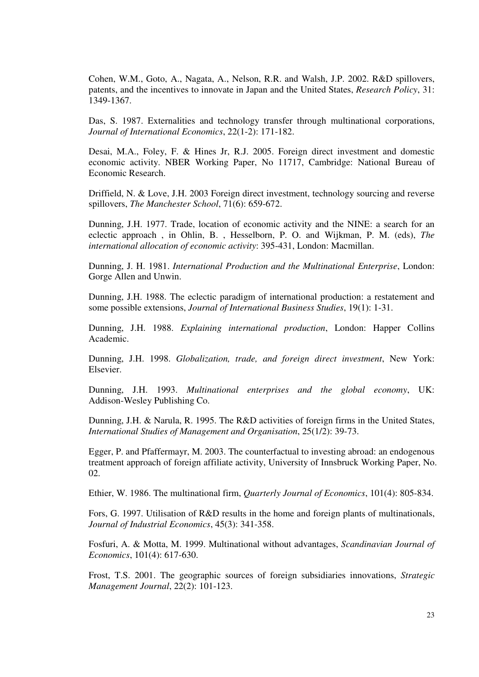Cohen, W.M., Goto, A., Nagata, A., Nelson, R.R. and Walsh, J.P. 2002. R&D spillovers, patents, and the incentives to innovate in Japan and the United States, *Research Policy*, 31: 1349-1367.

Das, S. 1987. Externalities and technology transfer through multinational corporations, *Journal of International Economics*, 22(1-2): 171-182.

Desai, M.A., Foley, F. & Hines Jr, R.J. 2005. Foreign direct investment and domestic economic activity. NBER Working Paper, No 11717, Cambridge: National Bureau of Economic Research.

Driffield, N. & Love, J.H. 2003 Foreign direct investment, technology sourcing and reverse spillovers, *The Manchester School*, 71(6): 659-672.

Dunning, J.H. 1977. Trade, location of economic activity and the NINE: a search for an eclectic approach , in Ohlin, B. , Hesselborn, P. O. and Wijkman, P. M. (eds), *The international allocation of economic activity*: 395-431, London: Macmillan.

Dunning, J. H. 1981. *International Production and the Multinational Enterprise*, London: Gorge Allen and Unwin.

Dunning, J.H. 1988. The eclectic paradigm of international production: a restatement and some possible extensions, *Journal of International Business Studies*, 19(1): 1-31.

Dunning, J.H. 1988. *Explaining international production*, London: Happer Collins Academic.

Dunning, J.H. 1998. *Globalization, trade, and foreign direct investment*, New York: Elsevier.

Dunning, J.H. 1993. *Multinational enterprises and the global economy*, UK: Addison-Wesley Publishing Co.

Dunning, J.H. & Narula, R. 1995. The R&D activities of foreign firms in the United States, *International Studies of Management and Organisation*, 25(1/2): 39-73.

Egger, P. and Pfaffermayr, M. 2003. The counterfactual to investing abroad: an endogenous treatment approach of foreign affiliate activity, University of Innsbruck Working Paper, No. 02.

Ethier, W. 1986. The multinational firm, *Quarterly Journal of Economics*, 101(4): 805-834.

Fors, G. 1997. Utilisation of R&D results in the home and foreign plants of multinationals, *Journal of Industrial Economics*, 45(3): 341-358.

Fosfuri, A. & Motta, M. 1999. Multinational without advantages, *Scandinavian Journal of Economics*, 101(4): 617-630.

Frost, T.S. 2001. The geographic sources of foreign subsidiaries innovations, *Strategic Management Journal*, 22(2): 101-123.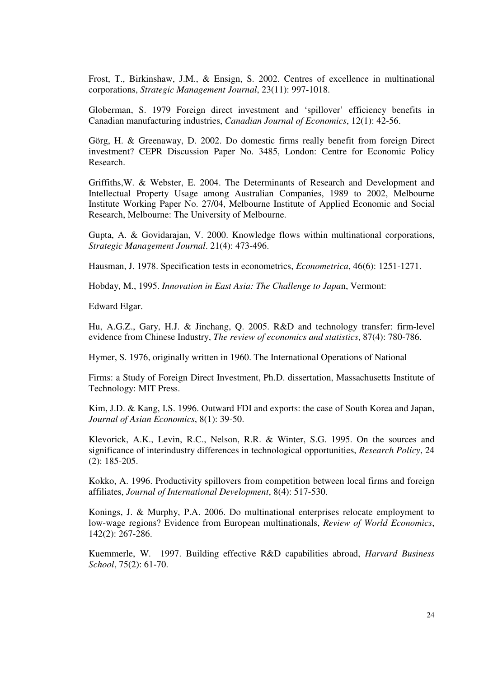Frost, T., Birkinshaw, J.M., & Ensign, S. 2002. Centres of excellence in multinational corporations, *Strategic Management Journal*, 23(11): 997-1018.

Globerman, S. 1979 Foreign direct investment and 'spillover' efficiency benefits in Canadian manufacturing industries, *Canadian Journal of Economics*, 12(1): 42-56.

Görg, H. & Greenaway, D. 2002. Do domestic firms really benefit from foreign Direct investment? CEPR Discussion Paper No. 3485, London: Centre for Economic Policy Research.

Griffiths,W. & Webster, E. 2004. The Determinants of Research and Development and Intellectual Property Usage among Australian Companies, 1989 to 2002, Melbourne Institute Working Paper No. 27/04, Melbourne Institute of Applied Economic and Social Research, Melbourne: The University of Melbourne.

Gupta, A. & Govidarajan, V. 2000. Knowledge flows within multinational corporations, *Strategic Management Journal*. 21(4): 473-496.

Hausman, J. 1978. Specification tests in econometrics, *Econometrica*, 46(6): 1251-1271.

Hobday, M., 1995. *Innovation in East Asia: The Challenge to Japa*n, Vermont:

Edward Elgar.

Hu, A.G.Z., Gary, H.J. & Jinchang, Q. 2005. R&D and technology transfer: firm-level evidence from Chinese Industry, *The review of economics and statistics*, 87(4): 780-786.

Hymer, S. 1976, originally written in 1960. The International Operations of National

Firms: a Study of Foreign Direct Investment, Ph.D. dissertation, Massachusetts Institute of Technology: MIT Press.

Kim, J.D. & Kang, I.S. 1996. Outward FDI and exports: the case of South Korea and Japan, *Journal of Asian Economics*, 8(1): 39-50.

Klevorick, A.K., Levin, R.C., Nelson, R.R. & Winter, S.G. 1995. On the sources and significance of interindustry differences in technological opportunities, *Research Policy*, 24 (2): 185-205.

Kokko, A. 1996. Productivity spillovers from competition between local firms and foreign affiliates, *Journal of International Development*, 8(4): 517-530.

Konings, J. & Murphy, P.A. 2006. Do multinational enterprises relocate employment to low-wage regions? Evidence from European multinationals, *Review of World Economics*, 142(2): 267-286.

Kuemmerle, W. 1997. Building effective R&D capabilities abroad, *Harvard Business School*, 75(2): 61-70.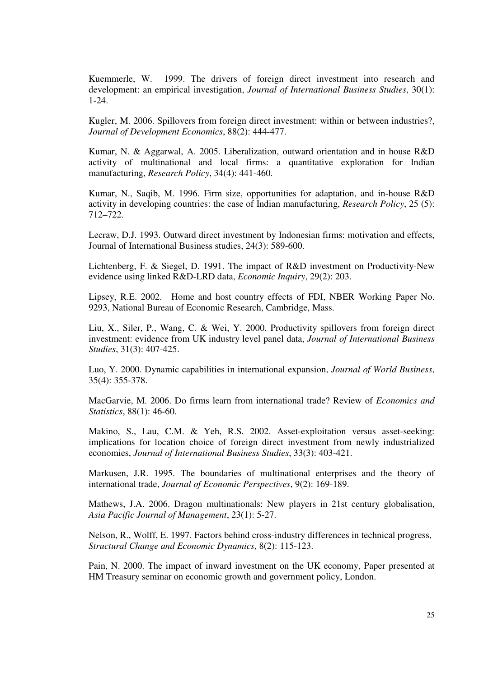Kuemmerle, W. 1999. The drivers of foreign direct investment into research and development: an empirical investigation, *Journal of International Business Studies*, 30(1): 1-24.

Kugler, M. 2006. Spillovers from foreign direct investment: within or between industries?, *Journal of Development Economics*, 88(2): 444-477.

Kumar, N. & Aggarwal, A. 2005. Liberalization, outward orientation and in house R&D activity of multinational and local firms: a quantitative exploration for Indian manufacturing, *Research Policy*, 34(4): 441-460.

Kumar, N., Saqib, M. 1996. Firm size, opportunities for adaptation, and in-house R&D activity in developing countries: the case of Indian manufacturing, *Research Policy*, 25 (5): 712–722.

Lecraw, D.J. 1993. Outward direct investment by Indonesian firms: motivation and effects, Journal of International Business studies, 24(3): 589-600.

Lichtenberg, F. & Siegel, D. 1991. The impact of R&D investment on Productivity-New evidence using linked R&D-LRD data, *Economic Inquiry*, 29(2): 203.

Lipsey, R.E. 2002. Home and host country effects of FDI, NBER Working Paper No. 9293, National Bureau of Economic Research, Cambridge, Mass.

Liu, X., Siler, P., Wang, C. & Wei, Y. 2000. Productivity spillovers from foreign direct investment: evidence from UK industry level panel data, *Journal of International Business Studies*, 31(3): 407-425.

Luo, Y. 2000. Dynamic capabilities in international expansion, *Journal of World Business*, 35(4): 355-378.

MacGarvie, M. 2006. Do firms learn from international trade? Review of *Economics and Statistics*, 88(1): 46-60.

Makino, S., Lau, C.M. & Yeh, R.S. 2002. Asset-exploitation versus asset-seeking: implications for location choice of foreign direct investment from newly industrialized economies, *Journal of International Business Studies*, 33(3): 403-421.

Markusen, J.R. 1995. The boundaries of multinational enterprises and the theory of international trade, *Journal of Economic Perspectives*, 9(2): 169-189.

Mathews, J.A. 2006. Dragon multinationals: New players in 21st century globalisation, *Asia Pacific Journal of Management*, 23(1): 5-27.

Nelson, R., Wolff, E. 1997. Factors behind cross-industry differences in technical progress, *Structural Change and Economic Dynamics*, 8(2): 115-123.

Pain, N. 2000. The impact of inward investment on the UK economy, Paper presented at HM Treasury seminar on economic growth and government policy, London.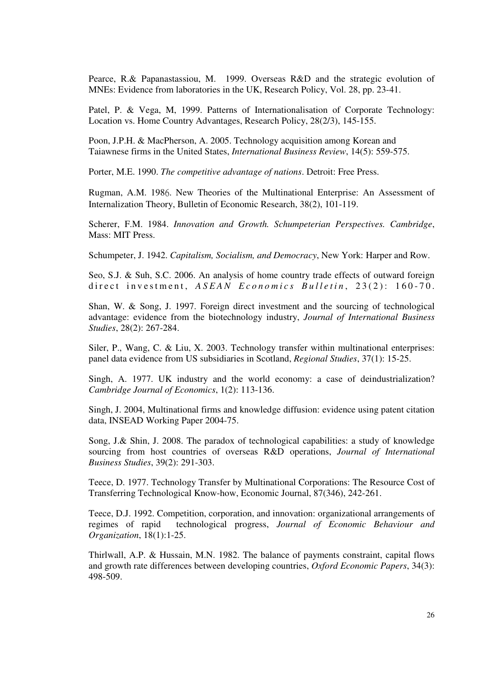Pearce, R.& Papanastassiou, M. 1999. Overseas R&D and the strategic evolution of MNEs: Evidence from laboratories in the UK, Research Policy, Vol. 28, pp. 23-41.

Patel, P. & Vega, M, 1999. Patterns of Internationalisation of Corporate Technology: Location vs. Home Country Advantages, Research Policy, 28(2/3), 145-155.

Poon, J.P.H. & MacPherson, A. 2005. Technology acquisition among Korean and Taiawnese firms in the United States, *International Business Review*, 14(5): 559-575.

Porter, M.E. 1990. *The competitive advantage of nations*. Detroit: Free Press.

Rugman, A.M. 1986. New Theories of the Multinational Enterprise: An Assessment of Internalization Theory, Bulletin of Economic Research, 38(2), 101-119.

Scherer, F.M. 1984. *Innovation and Growth. Schumpeterian Perspectives. Cambridge*, Mass: MIT Press.

Schumpeter, J. 1942. *Capitalism, Socialism, and Democracy*, New York: Harper and Row.

Seo, S.J. & Suh, S.C. 2006. An analysis of home country trade effects of outward foreign direct investment,  $ASEAN$  Economics Bulletin, 23(2): 160-70.

Shan, W. & Song, J. 1997. Foreign direct investment and the sourcing of technological advantage: evidence from the biotechnology industry, *Journal of International Business Studies*, 28(2): 267-284.

Siler, P., Wang, C. & Liu, X. 2003. Technology transfer within multinational enterprises: panel data evidence from US subsidiaries in Scotland, *Regional Studies*, 37(1): 15-25.

Singh, A. 1977. UK industry and the world economy: a case of deindustrialization? *Cambridge Journal of Economics*, 1(2): 113-136.

Singh, J. 2004, Multinational firms and knowledge diffusion: evidence using patent citation data, INSEAD Working Paper 2004-75.

Song, J.& Shin, J. 2008. The paradox of technological capabilities: a study of knowledge sourcing from host countries of overseas R&D operations, *Journal of International Business Studies*, 39(2): 291-303.

Teece, D. 1977. Technology Transfer by Multinational Corporations: The Resource Cost of Transferring Technological Know-how, Economic Journal, 87(346), 242-261.

Teece, D.J. 1992. Competition, corporation, and innovation: organizational arrangements of regimes of rapid technological progress, *Journal of Economic Behaviour and Organization*, 18(1):1-25.

Thirlwall, A.P. & Hussain, M.N. 1982. The balance of payments constraint, capital flows and growth rate differences between developing countries, *Oxford Economic Papers*, 34(3): 498-509.